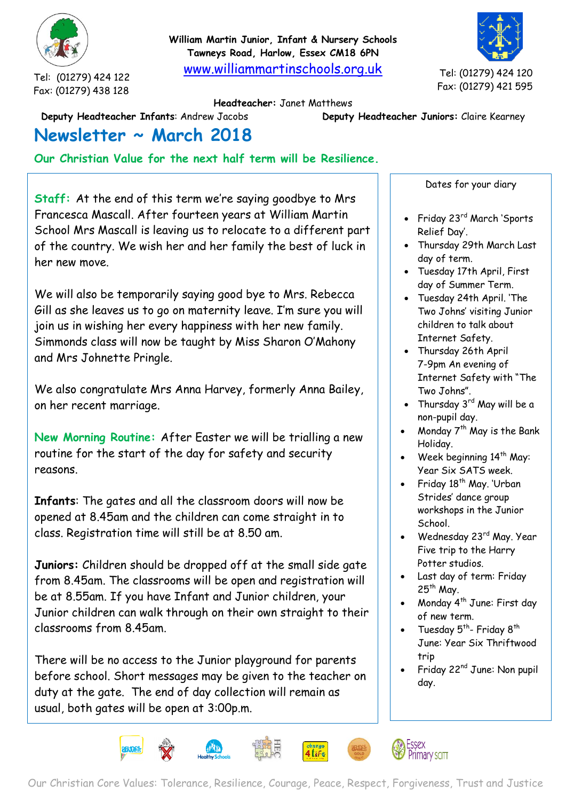

Tel: (01279) 424 122 Fax: (01279) 438 128 **William Martin Junior, Infant & Nursery Schools Tawneys Road, Harlow, Essex CM18 6PN**

[www.williammartinschools.org.uk](http://www.williammartinschools.org.uk/)

Tel: (01279) 424 120 Fax: (01279) 421 595

## **Headteacher:** Janet Matthews

**Deputy Headteacher Infants**: Andrew Jacobs **Deputy Headteacher Juniors:** Claire Kearney

## **Newsletter ~ March 2018**

**Our Christian Value for the next half term will be Resilience.**

**Staff:** At the end of this term we're saying goodbye to Mrs Francesca Mascall. After fourteen years at William Martin School Mrs Mascall is leaving us to relocate to a different part of the country. We wish her and her family the best of luck in her new move.

We will also be temporarily saying good bye to Mrs. Rebecca Gill as she leaves us to go on maternity leave. I'm sure you will join us in wishing her every happiness with her new family. Simmonds class will now be taught by Miss Sharon O'Mahony and Mrs Johnette Pringle.

We also congratulate Mrs Anna Harvey, formerly Anna Bailey, on her recent marriage.

**New Morning Routine:** After Easter we will be trialling a new routine for the start of the day for safety and security reasons.

**Infants**: The gates and all the classroom doors will now be opened at 8.45am and the children can come straight in to class. Registration time will still be at 8.50 am.

**Juniors:** Children should be dropped off at the small side gate from 8.45am. The classrooms will be open and registration will be at 8.55am. If you have Infant and Junior children, your Junior children can walk through on their own straight to their classrooms from 8.45am.

There will be no access to the Junior playground for parents before school. Short messages may be given to the teacher on duty at the gate. The end of day collection will remain as usual, both gates will be open at 3:00p.m.

Dates for your diary

- Friday 23<sup>rd</sup> March 'Sports Relief Day'.
- Thursday 29th March Last day of term.
- Tuesday 17th April, First day of Summer Term.
- Tuesday 24th April. 'The Two Johns' visiting Junior children to talk about Internet Safety.
- Thursday 26th April 7-9pm An evening of Internet Safety with "The Two Johns".
- Thursday  $3^{rd}$  May will be a non-pupil day.
- Monday  $7<sup>th</sup>$  May is the Bank Holiday.
- Week beginning 14<sup>th</sup> May: Year Six SATS week.
- Friday 18<sup>th</sup> May. 'Urban Strides' dance group workshops in the Junior School.
- Wednesday 23rd May. Year Five trip to the Harry Potter studios.
- Last day of term: Friday  $25<sup>th</sup>$  May.
- Monday 4<sup>th</sup> June: First day of new term.
- Tuesday  $5^{th}$  Friday  $8^{th}$ June: Year Six Thriftwood trip
- Friday 22nd June: Non pupil day.

Essex

Primary SCITT



4 Life